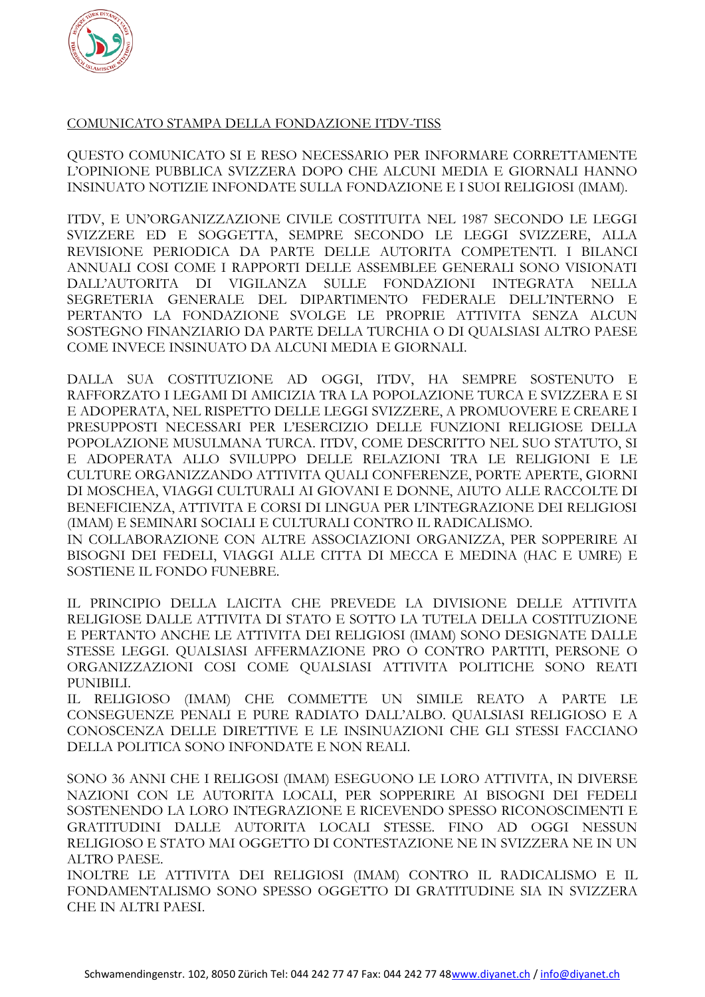

## COMUNICATO STAMPA DELLA FONDAZIONE ITDV-TISS

QUESTO COMUNICATO SI E RESO NECESSARIO PER INFORMARE CORRETTAMENTE L'OPINIONE PUBBLICA SVIZZERA DOPO CHE ALCUNI MEDIA E GIORNALI HANNO INSINUATO NOTIZIE INFONDATE SULLA FONDAZIONE E I SUOI RELIGIOSI (IMAM).

ITDV, E UN'ORGANIZZAZIONE CIVILE COSTITUITA NEL 1987 SECONDO LE LEGGI SVIZZERE ED E SOGGETTA, SEMPRE SECONDO LE LEGGI SVIZZERE, ALLA REVISIONE PERIODICA DA PARTE DELLE AUTORITA COMPETENTI. I BILANCI ANNUALI COSI COME I RAPPORTI DELLE ASSEMBLEE GENERALI SONO VISIONATI DALL'AUTORITA DI VIGILANZA SULLE FONDAZIONI INTEGRATA NELLA SEGRETERIA GENERALE DEL DIPARTIMENTO FEDERALE DELL'INTERNO E PERTANTO LA FONDAZIONE SVOLGE LE PROPRIE ATTIVITA SENZA ALCUN SOSTEGNO FINANZIARIO DA PARTE DELLA TURCHIA O DI QUALSIASI ALTRO PAESE COME INVECE INSINUATO DA ALCUNI MEDIA E GIORNALI.

DALLA SUA COSTITUZIONE AD OGGI, ITDV, HA SEMPRE SOSTENUTO E RAFFORZATO I LEGAMI DI AMICIZIA TRA LA POPOLAZIONE TURCA E SVIZZERA E SI E ADOPERATA, NEL RISPETTO DELLE LEGGI SVIZZERE, A PROMUOVERE E CREARE I PRESUPPOSTI NECESSARI PER L'ESERCIZIO DELLE FUNZIONI RELIGIOSE DELLA POPOLAZIONE MUSULMANA TURCA. ITDV, COME DESCRITTO NEL SUO STATUTO, SI E ADOPERATA ALLO SVILUPPO DELLE RELAZIONI TRA LE RELIGIONI E LE CULTURE ORGANIZZANDO ATTIVITA QUALI CONFERENZE, PORTE APERTE, GIORNI DI MOSCHEA, VIAGGI CULTURALI AI GIOVANI E DONNE, AIUTO ALLE RACCOLTE DI BENEFICIENZA, ATTIVITA E CORSI DI LINGUA PER L'INTEGRAZIONE DEI RELIGIOSI (IMAM) E SEMINARI SOCIALI E CULTURALI CONTRO IL RADICALISMO.

IN COLLABORAZIONE CON ALTRE ASSOCIAZIONI ORGANIZZA, PER SOPPERIRE AI BISOGNI DEI FEDELI, VIAGGI ALLE CITTA DI MECCA E MEDINA (HAC E UMRE) E SOSTIENE IL FONDO FUNEBRE.

IL PRINCIPIO DELLA LAICITA CHE PREVEDE LA DIVISIONE DELLE ATTIVITA RELIGIOSE DALLE ATTIVITA DI STATO E SOTTO LA TUTELA DELLA COSTITUZIONE E PERTANTO ANCHE LE ATTIVITA DEI RELIGIOSI (IMAM) SONO DESIGNATE DALLE STESSE LEGGI. QUALSIASI AFFERMAZIONE PRO O CONTRO PARTITI, PERSONE O ORGANIZZAZIONI COSI COME QUALSIASI ATTIVITA POLITICHE SONO REATI PUNIBILI.

IL RELIGIOSO (IMAM) CHE COMMETTE UN SIMILE REATO A PARTE LE CONSEGUENZE PENALI E PURE RADIATO DALL'ALBO. QUALSIASI RELIGIOSO E A CONOSCENZA DELLE DIRETTIVE E LE INSINUAZIONI CHE GLI STESSI FACCIANO DELLA POLITICA SONO INFONDATE E NON REALI.

SONO 36 ANNI CHE I RELIGOSI (IMAM) ESEGUONO LE LORO ATTIVITA, IN DIVERSE NAZIONI CON LE AUTORITA LOCALI, PER SOPPERIRE AI BISOGNI DEI FEDELI SOSTENENDO LA LORO INTEGRAZIONE E RICEVENDO SPESSO RICONOSCIMENTI E GRATITUDINI DALLE AUTORITA LOCALI STESSE. FINO AD OGGI NESSUN RELIGIOSO E STATO MAI OGGETTO DI CONTESTAZIONE NE IN SVIZZERA NE IN UN ALTRO PAESE.

INOLTRE LE ATTIVITA DEI RELIGIOSI (IMAM) CONTRO IL RADICALISMO E IL FONDAMENTALISMO SONO SPESSO OGGETTO DI GRATITUDINE SIA IN SVIZZERA CHE IN ALTRI PAESI.